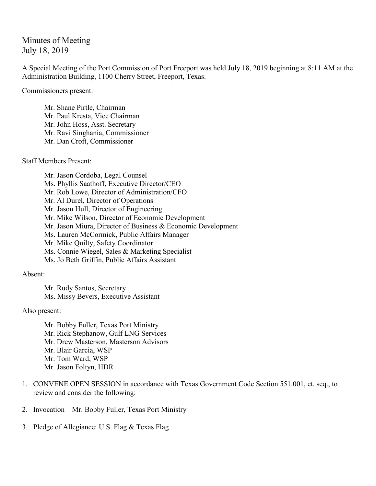## Minutes of Meeting July 18, 2019

A Special Meeting of the Port Commission of Port Freeport was held July 18, 2019 beginning at 8:11 AM at the Administration Building, 1100 Cherry Street, Freeport, Texas.

Commissioners present:

Mr. Shane Pirtle, Chairman Mr. Paul Kresta, Vice Chairman Mr. John Hoss, Asst. Secretary Mr. Ravi Singhania, Commissioner Mr. Dan Croft, Commissioner

Staff Members Present:

Mr. Jason Cordoba, Legal Counsel Ms. Phyllis Saathoff, Executive Director/CEO Mr. Rob Lowe, Director of Administration/CFO Mr. Al Durel, Director of Operations Mr. Jason Hull, Director of Engineering Mr. Mike Wilson, Director of Economic Development Mr. Jason Miura, Director of Business & Economic Development Ms. Lauren McCormick, Public Affairs Manager Mr. Mike Quilty, Safety Coordinator Ms. Connie Wiegel, Sales & Marketing Specialist Ms. Jo Beth Griffin, Public Affairs Assistant

Absent:

Mr. Rudy Santos, Secretary Ms. Missy Bevers, Executive Assistant

Also present:

Mr. Bobby Fuller, Texas Port Ministry Mr. Rick Stephanow, Gulf LNG Services Mr. Drew Masterson, Masterson Advisors Mr. Blair Garcia, WSP Mr. Tom Ward, WSP Mr. Jason Foltyn, HDR

- 1. CONVENE OPEN SESSION in accordance with Texas Government Code Section 551.001, et. seq., to review and consider the following:
- 2. Invocation Mr. Bobby Fuller, Texas Port Ministry
- 3. Pledge of Allegiance: U.S. Flag & Texas Flag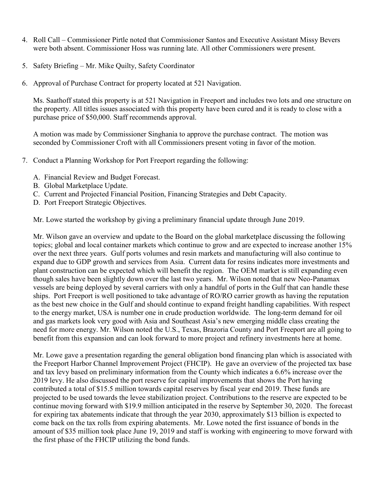- 4. Roll Call Commissioner Pirtle noted that Commissioner Santos and Executive Assistant Missy Bevers were both absent. Commissioner Hoss was running late. All other Commissioners were present.
- 5. Safety Briefing Mr. Mike Quilty, Safety Coordinator
- 6. Approval of Purchase Contract for property located at 521 Navigation.

Ms. Saathoff stated this property is at 521 Navigation in Freeport and includes two lots and one structure on the property. All titles issues associated with this property have been cured and it is ready to close with a purchase price of \$50,000. Staff recommends approval.

A motion was made by Commissioner Singhania to approve the purchase contract. The motion was seconded by Commissioner Croft with all Commissioners present voting in favor of the motion.

- 7. Conduct a Planning Workshop for Port Freeport regarding the following:
	- A. Financial Review and Budget Forecast.
	- B. Global Marketplace Update.
	- C. Current and Projected Financial Position, Financing Strategies and Debt Capacity.
	- D. Port Freeport Strategic Objectives.

Mr. Lowe started the workshop by giving a preliminary financial update through June 2019.

Mr. Wilson gave an overview and update to the Board on the global marketplace discussing the following topics; global and local container markets which continue to grow and are expected to increase another 15% over the next three years. Gulf ports volumes and resin markets and manufacturing will also continue to expand due to GDP growth and services from Asia. Current data for resins indicates more investments and plant construction can be expected which will benefit the region. The OEM market is still expanding even though sales have been slightly down over the last two years. Mr. Wilson noted that new Neo-Panamax vessels are being deployed by several carriers with only a handful of ports in the Gulf that can handle these ships. Port Freeport is well positioned to take advantage of RO/RO carrier growth as having the reputation as the best new choice in the Gulf and should continue to expand freight handling capabilities. With respect to the energy market, USA is number one in crude production worldwide. The long-term demand for oil and gas markets look very good with Asia and Southeast Asia's new emerging middle class creating the need for more energy. Mr. Wilson noted the U.S., Texas, Brazoria County and Port Freeport are all going to benefit from this expansion and can look forward to more project and refinery investments here at home.

Mr. Lowe gave a presentation regarding the general obligation bond financing plan which is associated with the Freeport Harbor Channel Improvement Project (FHCIP). He gave an overview of the projected tax base and tax levy based on preliminary information from the County which indicates a 6.6% increase over the 2019 levy. He also discussed the port reserve for capital improvements that shows the Port having contributed a total of \$15.5 million towards capital reserves by fiscal year end 2019. These funds are projected to be used towards the levee stabilization project. Contributions to the reserve are expected to be continue moving forward with \$19.9 million anticipated in the reserve by September 30, 2020. The forecast for expiring tax abatements indicate that through the year 2030, approximately \$13 billion is expected to come back on the tax rolls from expiring abatements. Mr. Lowe noted the first issuance of bonds in the amount of \$35 million took place June 19, 2019 and staff is working with engineering to move forward with the first phase of the FHCIP utilizing the bond funds.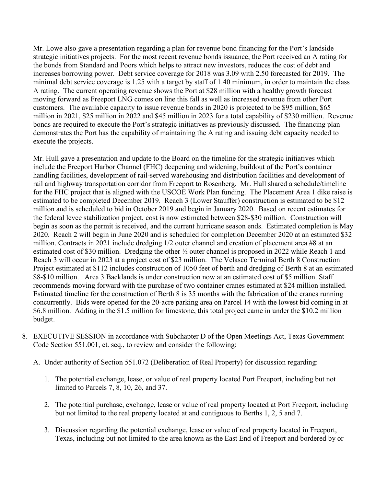Mr. Lowe also gave a presentation regarding a plan for revenue bond financing for the Port's landside strategic initiatives projects. For the most recent revenue bonds issuance, the Port received an A rating for the bonds from Standard and Poors which helps to attract new investors, reduces the cost of debt and increases borrowing power. Debt service coverage for 2018 was 3.09 with 2.50 forecasted for 2019. The minimal debt service coverage is 1.25 with a target by staff of 1.40 minimum, in order to maintain the class A rating. The current operating revenue shows the Port at \$28 million with a healthy growth forecast moving forward as Freeport LNG comes on line this fall as well as increased revenue from other Port customers. The available capacity to issue revenue bonds in 2020 is projected to be \$95 million, \$65 million in 2021, \$25 million in 2022 and \$45 million in 2023 for a total capability of \$230 million. Revenue bonds are required to execute the Port's strategic initiatives as previously discussed. The financing plan demonstrates the Port has the capability of maintaining the A rating and issuing debt capacity needed to execute the projects.

Mr. Hull gave a presentation and update to the Board on the timeline for the strategic initiatives which include the Freeport Harbor Channel (FHC) deepening and widening, buildout of the Port's container handling facilities, development of rail-served warehousing and distribution facilities and development of rail and highway transportation corridor from Freeport to Rosenberg. Mr. Hull shared a schedule/timeline for the FHC project that is aligned with the USCOE Work Plan funding. The Placement Area 1 dike raise is estimated to be completed December 2019. Reach 3 (Lower Stauffer) construction is estimated to be \$12 million and is scheduled to bid in October 2019 and begin in January 2020. Based on recent estimates for the federal levee stabilization project, cost is now estimated between \$28-\$30 million. Construction will begin as soon as the permit is received, and the current hurricane season ends. Estimated completion is May 2020. Reach 2 will begin in June 2020 and is scheduled for completion December 2020 at an estimated \$32 million. Contracts in 2021 include dredging 1/2 outer channel and creation of placement area #8 at an estimated cost of \$30 million. Dredging the other ½ outer channel is proposed in 2022 while Reach 1 and Reach 3 will occur in 2023 at a project cost of \$23 million. The Velasco Terminal Berth 8 Construction Project estimated at \$112 includes construction of 1050 feet of berth and dredging of Berth 8 at an estimated \$8-\$10 million. Area 3 Backlands is under construction now at an estimated cost of \$5 million. Staff recommends moving forward with the purchase of two container cranes estimated at \$24 million installed. Estimated timeline for the construction of Berth 8 is 35 months with the fabrication of the cranes running concurrently. Bids were opened for the 20-acre parking area on Parcel 14 with the lowest bid coming in at \$6.8 million. Adding in the \$1.5 million for limestone, this total project came in under the \$10.2 million budget.

- 8. EXECUTIVE SESSION in accordance with Subchapter D of the Open Meetings Act, Texas Government Code Section 551.001, et. seq., to review and consider the following:
	- A. Under authority of Section 551.072 (Deliberation of Real Property) for discussion regarding:
		- 1. The potential exchange, lease, or value of real property located Port Freeport, including but not limited to Parcels 7, 8, 10, 26, and 37.
		- 2. The potential purchase, exchange, lease or value of real property located at Port Freeport, including but not limited to the real property located at and contiguous to Berths 1, 2, 5 and 7.
		- 3. Discussion regarding the potential exchange, lease or value of real property located in Freeport, Texas, including but not limited to the area known as the East End of Freeport and bordered by or